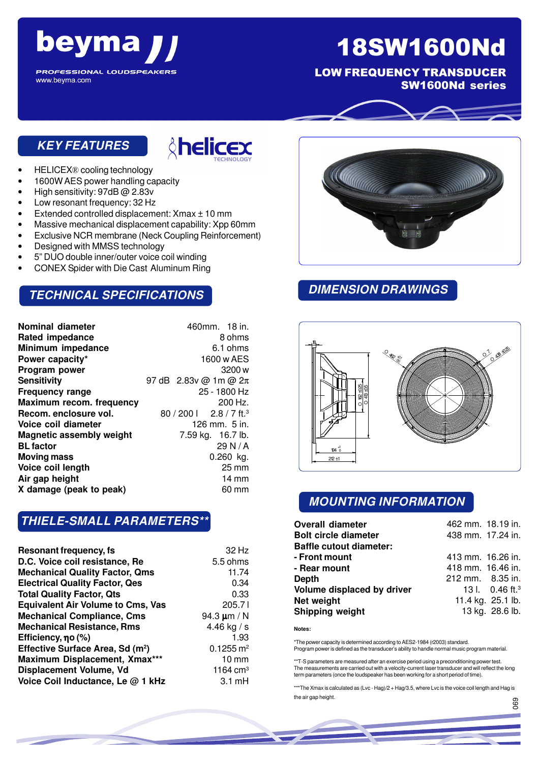### beyma **PROFESSIONAL LOUDSPEAKERS**

# 18SW1600Nd

LOW FREQUENCY TRANSDUCER SW1600Nd series

#### **KEY FEATURES**

www.beyma.com



- HELICEX® cooling technology
- 1600W AES power handling capacity
- High sensitivity: 97dB @ 2.83v
- Low resonant frequency: 32 Hz
- Extended controlled displacement: Xmax ± 10 mm
- Massive mechanical displacement capability: Xpp 60mm
- Exclusive NCR membrane (Neck Coupling Reinforcement)
- Designed with MMSS technology
- 5" DUO double inner/outer voice coil winding
- CONEX Spider with Die Cast Aluminum Ring

#### **TECHNICAL SPECIFICATIONS**

| Nominal diameter                | 460mm. 18 in.                       |
|---------------------------------|-------------------------------------|
| <b>Rated impedance</b>          | 8 ohms                              |
| Minimum impedance               | 6.1 ohms                            |
| Power capacity*                 | 1600 w AES                          |
| Program power                   | 3200 w                              |
| Sensitivity                     | 97 dB 2.83v @ 1m @ 2π               |
| Frequency range                 | 25 - 1800 Hz                        |
| Maximum recom. frequency        | 200 Hz.                             |
| Recom. enclosure vol.           | 80 / 200   2.8 / 7 ft. <sup>3</sup> |
| Voice coil diameter             | 126 mm. 5 in.                       |
| <b>Magnetic assembly weight</b> | 7.59 kg. 16.7 lb.                   |
| <b>BL factor</b>                | 29 N/A                              |
| Moving mass                     | $0.260$ kg.                         |
| Voice coil length               | 25 mm                               |
| Air gap height                  | $14 \text{ mm}$                     |
| X damage (peak to peak)         | 60 mm                               |

#### **THIELE-SMALL PARAMETERS\*\***

| <b>Resonant frequency, fs</b>                | 32 Hz                   |
|----------------------------------------------|-------------------------|
| D.C. Voice coil resistance, Re               | 5.5 ohms                |
| <b>Mechanical Quality Factor, Qms</b>        | 11.74                   |
| <b>Electrical Quality Factor, Qes</b>        | 0.34                    |
| <b>Total Quality Factor, Qts</b>             | 0.33                    |
| <b>Equivalent Air Volume to Cms, Vas</b>     | 205.71                  |
| <b>Mechanical Compliance, Cms</b>            | 94.3 $\mu$ m / N        |
| <b>Mechanical Resistance, Rms</b>            | 4.46 kg / s             |
| Efficiency, no (%)                           | 1.93                    |
| Effective Surface Area, Sd (m <sup>2</sup> ) | $0.1255 \,\mathrm{m}^2$ |
| Maximum Displacement, Xmax***                | $10 \, \text{mm}$       |
| Displacement Volume, Vd                      | 1164 $cm3$              |
| Voice Coil Inductance, Le @ 1 kHz            | $3.1 \text{ mH}$        |



#### **DIMENSION DRAWINGS**



#### **MOUNTING INFORMATION**

| <b>Overall diameter</b>        | 462 mm. 18.19 in. |                               |
|--------------------------------|-------------------|-------------------------------|
| <b>Bolt circle diameter</b>    | 438 mm. 17.24 in. |                               |
| <b>Baffle cutout diameter:</b> |                   |                               |
| - Front mount                  | 413 mm. 16.26 in. |                               |
| - Rear mount                   | 418 mm. 16.46 in. |                               |
| Depth                          | 212 mm. 8.35 in.  |                               |
| Volume displaced by driver     |                   | 13 l. $0.46$ ft. <sup>3</sup> |
| Net weight                     |                   | 11.4 kg. 25.1 lb.             |
| Shipping weight                |                   | 13 kg. 28.6 lb.               |

**Notes:**

\*The power capacity is determined according to AES2-1984 (r2003) standard. Program power is defined as the transducer's ability to handle normal music program material.

\*\*T-S parameters are measured after an exercise period using a preconditioning power test. The measurements are carried out with a velocity-current laser transducer and will reflect the long term parameters (once the loudspeaker has been working for a short period of time).

\*\*\*The Xmax is calculated as (Lvc - Hag)/2 + Hag/3.5, where Lvc is the voice coil length and Hag is the air gap height. 069

056